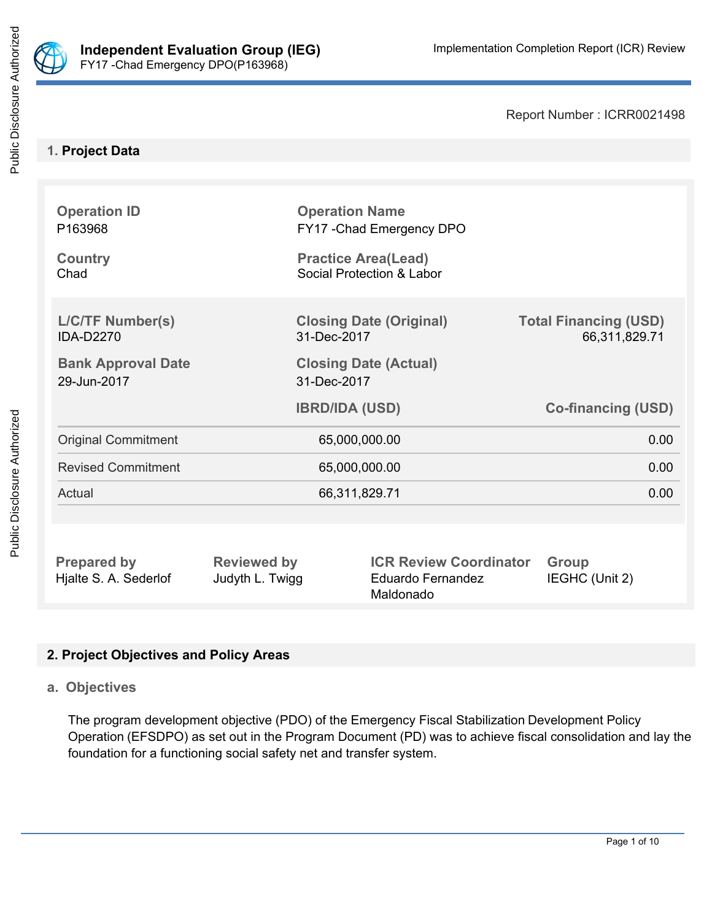

Public Disclosure Authorized

Report Number : ICRR0021498

# **1. Project Data**

| <b>Operation ID</b><br>P163968              |                                                         | <b>Operation Name</b><br>FY17 - Chad Emergency DPO              |                                               |
|---------------------------------------------|---------------------------------------------------------|-----------------------------------------------------------------|-----------------------------------------------|
| <b>Country</b><br>Chad                      | <b>Practice Area(Lead)</b><br>Social Protection & Labor |                                                                 |                                               |
| <b>L/C/TF Number(s)</b><br><b>IDA-D2270</b> | <b>Closing Date (Original)</b><br>31-Dec-2017           |                                                                 | <b>Total Financing (USD)</b><br>66,311,829.71 |
| <b>Bank Approval Date</b><br>29-Jun-2017    | <b>Closing Date (Actual)</b><br>31-Dec-2017             |                                                                 |                                               |
|                                             |                                                         | <b>IBRD/IDA (USD)</b>                                           | <b>Co-financing (USD)</b>                     |
| <b>Original Commitment</b>                  | 65,000,000.00                                           |                                                                 | 0.00                                          |
| <b>Revised Commitment</b>                   | 65,000,000.00                                           |                                                                 | 0.00                                          |
| Actual                                      | 66,311,829.71                                           |                                                                 | 0.00                                          |
|                                             |                                                         |                                                                 |                                               |
| <b>Prepared by</b><br>Hjalte S. A. Sederlof | <b>Reviewed by</b><br>Judyth L. Twigg                   | <b>ICR Review Coordinator</b><br>Eduardo Fernandez<br>Maldonado | <b>Group</b><br>IEGHC (Unit 2)                |

# **2. Project Objectives and Policy Areas**

## **a. Objectives**

The program development objective (PDO) of the Emergency Fiscal Stabilization Development Policy Operation (EFSDPO) as set out in the Program Document (PD) was to achieve fiscal consolidation and lay the foundation for a functioning social safety net and transfer system.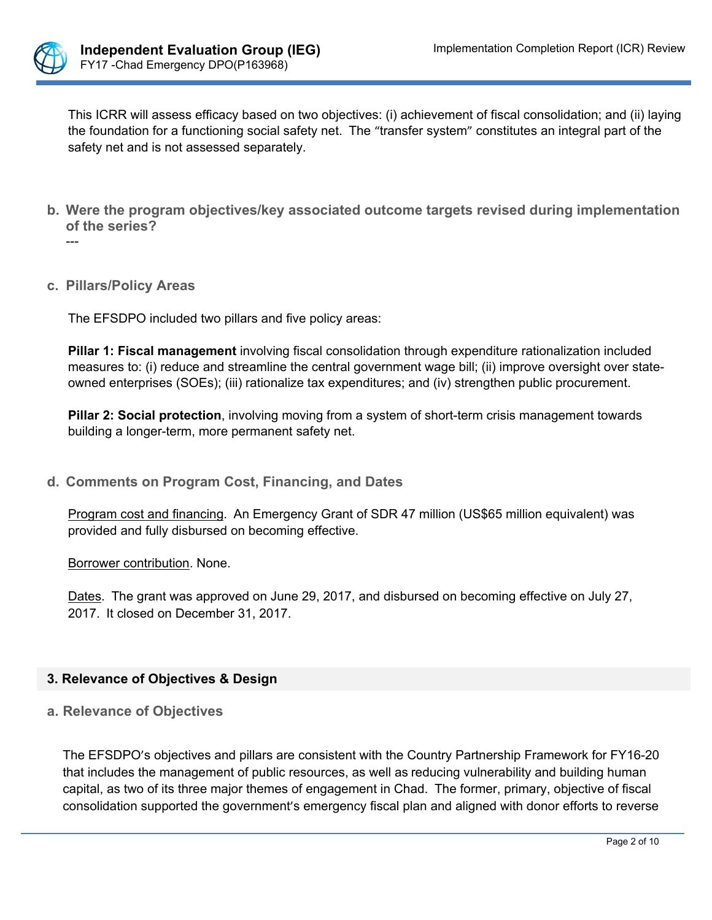

This ICRR will assess efficacy based on two objectives: (i) achievement of fiscal consolidation; and (ii) laying the foundation for a functioning social safety net. The "transfer system" constitutes an integral part of the safety net and is not assessed separately.

- **b. Were the program objectives/key associated outcome targets revised during implementation of the series?**  $-$
- **c. Pillars/Policy Areas**

The EFSDPO included two pillars and five policy areas:

**Pillar 1: Fiscal management** involving fiscal consolidation through expenditure rationalization included measures to: (i) reduce and streamline the central government wage bill; (ii) improve oversight over stateowned enterprises (SOEs); (iii) rationalize tax expenditures; and (iv) strengthen public procurement.

**Pillar 2: Social protection**, involving moving from a system of short-term crisis management towards building a longer-term, more permanent safety net.

**d. Comments on Program Cost, Financing, and Dates**

Program cost and financing. An Emergency Grant of SDR 47 million (US\$65 million equivalent) was provided and fully disbursed on becoming effective.

Borrower contribution. None.

Dates. The grant was approved on June 29, 2017, and disbursed on becoming effective on July 27, 2017. It closed on December 31, 2017.

### **3. Relevance of Objectives & Design**

**a. Relevance of Objectives**

The EFSDPO's objectives and pillars are consistent with the Country Partnership Framework for FY16-20 that includes the management of public resources, as well as reducing vulnerability and building human capital, as two of its three major themes of engagement in Chad. The former, primary, objective of fiscal consolidation supported the government's emergency fiscal plan and aligned with donor efforts to reverse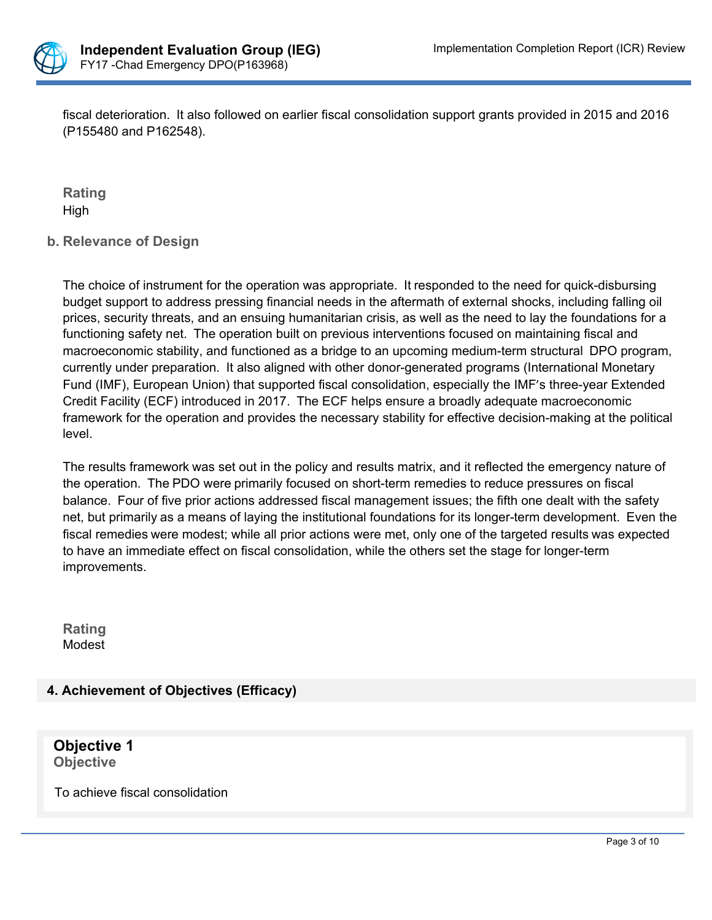

fiscal deterioration. It also followed on earlier fiscal consolidation support grants provided in 2015 and 2016 (P155480 and P162548).

**Rating** High

# **b. Relevance of Design**

The choice of instrument for the operation was appropriate. It responded to the need for quick-disbursing budget support to address pressing financial needs in the aftermath of external shocks, including falling oil prices, security threats, and an ensuing humanitarian crisis, as well as the need to lay the foundations for a functioning safety net. The operation built on previous interventions focused on maintaining fiscal and macroeconomic stability, and functioned as a bridge to an upcoming medium-term structural DPO program, currently under preparation. It also aligned with other donor-generated programs (International Monetary Fund (IMF), European Union) that supported fiscal consolidation, especially the IMF's three-year Extended Credit Facility (ECF) introduced in 2017. The ECF helps ensure a broadly adequate macroeconomic framework for the operation and provides the necessary stability for effective decision-making at the political level.

The results framework was set out in the policy and results matrix, and it reflected the emergency nature of the operation. The PDO were primarily focused on short-term remedies to reduce pressures on fiscal balance. Four of five prior actions addressed fiscal management issues; the fifth one dealt with the safety net, but primarily as a means of laying the institutional foundations for its longer-term development. Even the fiscal remedies were modest; while all prior actions were met, only one of the targeted results was expected to have an immediate effect on fiscal consolidation, while the others set the stage for longer-term improvements.

**Rating** Modest

# **4. Achievement of Objectives (Efficacy)**

**Objective 1 Objective**

To achieve fiscal consolidation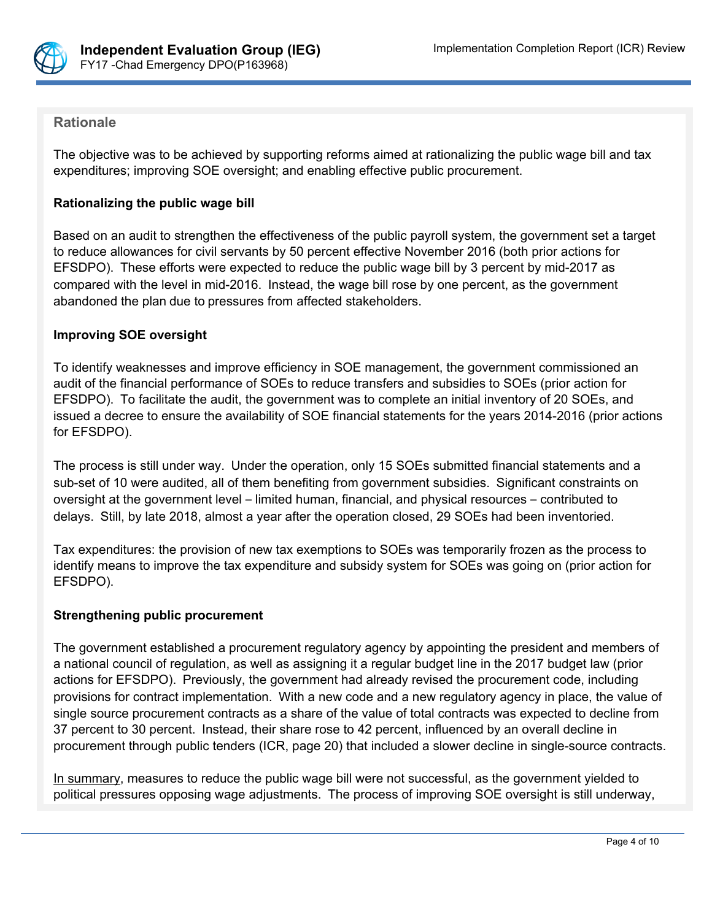

## **Rationale**

The objective was to be achieved by supporting reforms aimed at rationalizing the public wage bill and tax expenditures; improving SOE oversight; and enabling effective public procurement.

### **Rationalizing the public wage bill**

Based on an audit to strengthen the effectiveness of the public payroll system, the government set a target to reduce allowances for civil servants by 50 percent effective November 2016 (both prior actions for EFSDPO). These efforts were expected to reduce the public wage bill by 3 percent by mid-2017 as compared with the level in mid-2016. Instead, the wage bill rose by one percent, as the government abandoned the plan due to pressures from affected stakeholders.

### **Improving SOE oversight**

To identify weaknesses and improve efficiency in SOE management, the government commissioned an audit of the financial performance of SOEs to reduce transfers and subsidies to SOEs (prior action for EFSDPO). To facilitate the audit, the government was to complete an initial inventory of 20 SOEs, and issued a decree to ensure the availability of SOE financial statements for the years 2014-2016 (prior actions for EFSDPO).

The process is still under way. Under the operation, only 15 SOEs submitted financial statements and a sub-set of 10 were audited, all of them benefiting from government subsidies. Significant constraints on oversight at the government level – limited human, financial, and physical resources – contributed to delays. Still, by late 2018, almost a year after the operation closed, 29 SOEs had been inventoried.

Tax expenditures: the provision of new tax exemptions to SOEs was temporarily frozen as the process to identify means to improve the tax expenditure and subsidy system for SOEs was going on (prior action for EFSDPO).

### **Strengthening public procurement**

The government established a procurement regulatory agency by appointing the president and members of a national council of regulation, as well as assigning it a regular budget line in the 2017 budget law (prior actions for EFSDPO). Previously, the government had already revised the procurement code, including provisions for contract implementation. With a new code and a new regulatory agency in place, the value of single source procurement contracts as a share of the value of total contracts was expected to decline from 37 percent to 30 percent. Instead, their share rose to 42 percent, influenced by an overall decline in procurement through public tenders (ICR, page 20) that included a slower decline in single-source contracts.

In summary, measures to reduce the public wage bill were not successful, as the government yielded to political pressures opposing wage adjustments. The process of improving SOE oversight is still underway,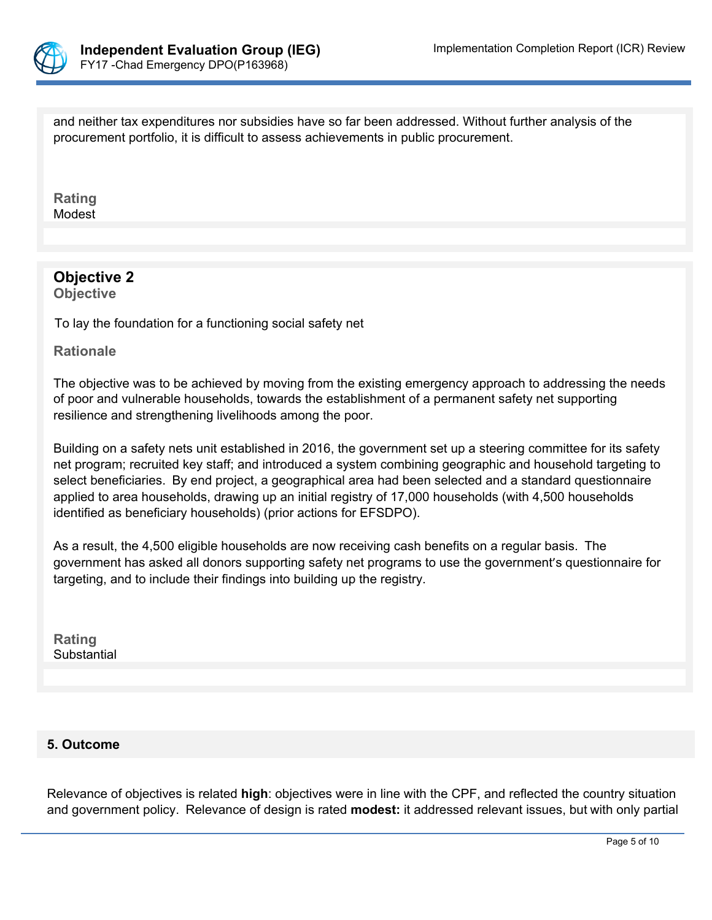

and neither tax expenditures nor subsidies have so far been addressed. Without further analysis of the procurement portfolio, it is difficult to assess achievements in public procurement.

**Rating** Modest

# **Objective 2**

**Objective**

To lay the foundation for a functioning social safety net

**Rationale**

The objective was to be achieved by moving from the existing emergency approach to addressing the needs of poor and vulnerable households, towards the establishment of a permanent safety net supporting resilience and strengthening livelihoods among the poor.

Building on a safety nets unit established in 2016, the government set up a steering committee for its safety net program; recruited key staff; and introduced a system combining geographic and household targeting to select beneficiaries. By end project, a geographical area had been selected and a standard questionnaire applied to area households, drawing up an initial registry of 17,000 households (with 4,500 households identified as beneficiary households) (prior actions for EFSDPO).

As a result, the 4,500 eligible households are now receiving cash benefits on a regular basis. The government has asked all donors supporting safety net programs to use the government's questionnaire for targeting, and to include their findings into building up the registry.

**Rating** Substantial PHREVDELTBL

# **5. Outcome**

Relevance of objectives is related **high**: objectives were in line with the CPF, and reflected the country situation and government policy. Relevance of design is rated **modest:** it addressed relevant issues, but with only partial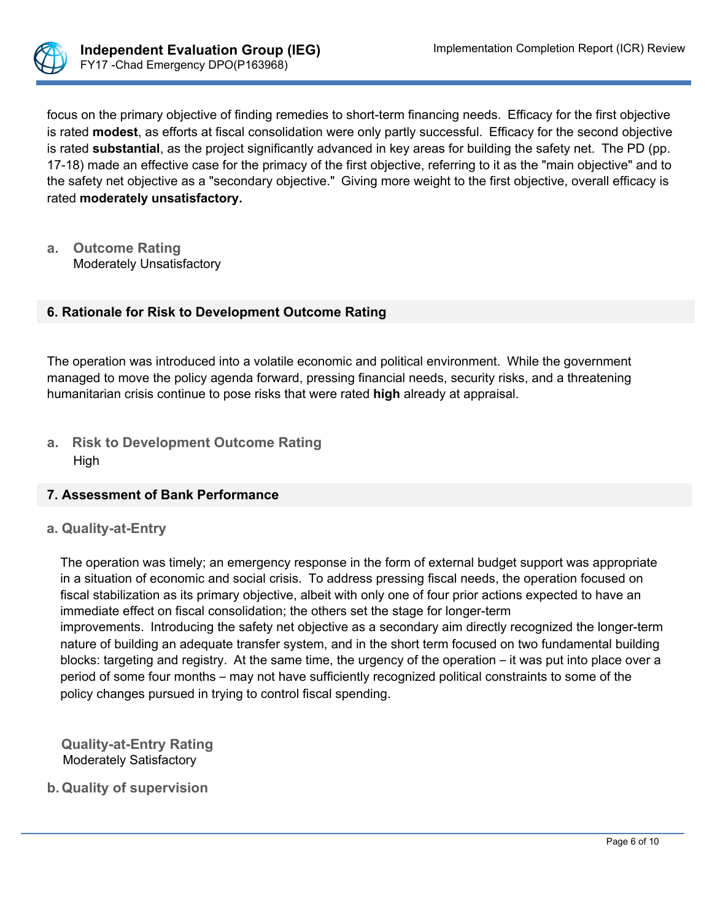

focus on the primary objective of finding remedies to short-term financing needs. Efficacy for the first objective is rated **modest**, as efforts at fiscal consolidation were only partly successful. Efficacy for the second objective is rated **substantial**, as the project significantly advanced in key areas for building the safety net. The PD (pp. 17-18) made an effective case for the primacy of the first objective, referring to it as the "main objective" and to the safety net objective as a "secondary objective." Giving more weight to the first objective, overall efficacy is rated **moderately unsatisfactory.**

**a. Outcome Rating** Moderately Unsatisfactory

# **6. Rationale for Risk to Development Outcome Rating**

The operation was introduced into a volatile economic and political environment. While the government managed to move the policy agenda forward, pressing financial needs, security risks, and a threatening humanitarian crisis continue to pose risks that were rated **high** already at appraisal.

**a. Risk to Development Outcome Rating** High

### **7. Assessment of Bank Performance**

### **a. Quality-at-Entry**

The operation was timely; an emergency response in the form of external budget support was appropriate in a situation of economic and social crisis. To address pressing fiscal needs, the operation focused on fiscal stabilization as its primary objective, albeit with only one of four prior actions expected to have an immediate effect on fiscal consolidation; the others set the stage for longer-term

improvements. Introducing the safety net objective as a secondary aim directly recognized the longer-term nature of building an adequate transfer system, and in the short term focused on two fundamental building blocks: targeting and registry. At the same time, the urgency of the operation – it was put into place over a period of some four months – may not have sufficiently recognized political constraints to some of the policy changes pursued in trying to control fiscal spending.

**Quality-at-Entry Rating** Moderately Satisfactory

**b. Quality of supervision**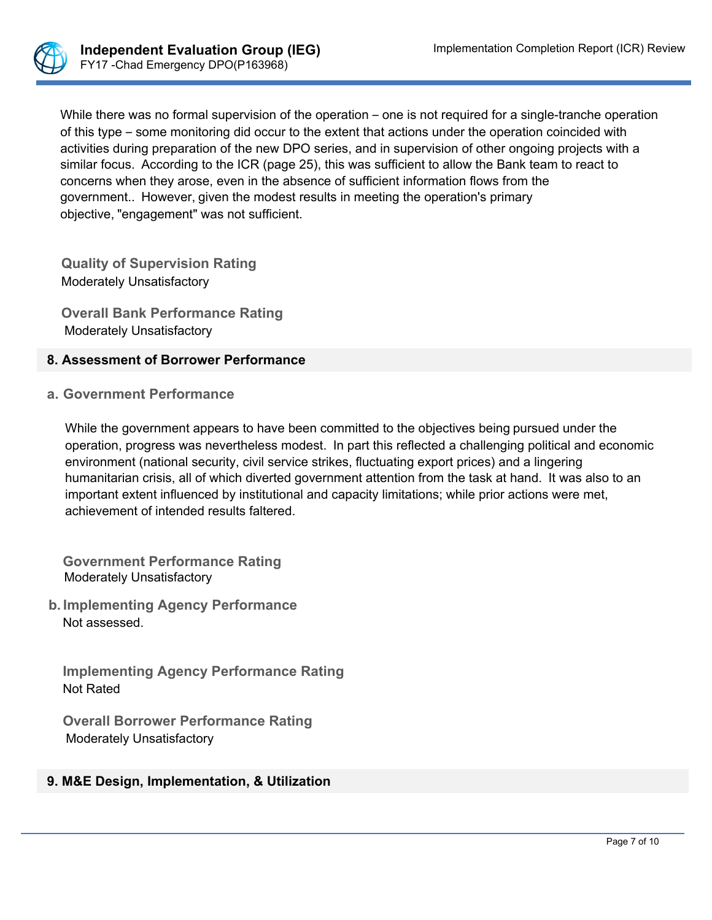

While there was no formal supervision of the operation – one is not required for a single-tranche operation of this type – some monitoring did occur to the extent that actions under the operation coincided with activities during preparation of the new DPO series, and in supervision of other ongoing projects with a similar focus. According to the ICR (page 25), this was sufficient to allow the Bank team to react to concerns when they arose, even in the absence of sufficient information flows from the government.. However, given the modest results in meeting the operation's primary objective, "engagement" was not sufficient.

**Quality of Supervision Rating**  Moderately Unsatisfactory

**Overall Bank Performance Rating** Moderately Unsatisfactory

## **8. Assessment of Borrower Performance**

**a. Government Performance**

While the government appears to have been committed to the objectives being pursued under the operation, progress was nevertheless modest. In part this reflected a challenging political and economic environment (national security, civil service strikes, fluctuating export prices) and a lingering humanitarian crisis, all of which diverted government attention from the task at hand. It was also to an important extent influenced by institutional and capacity limitations; while prior actions were met, achievement of intended results faltered.

**Government Performance Rating** Moderately Unsatisfactory

**b. Implementing Agency Performance** Not assessed.

**Implementing Agency Performance Rating**  Not Rated

**Overall Borrower Performance Rating**  Moderately Unsatisfactory

# **9. M&E Design, Implementation, & Utilization**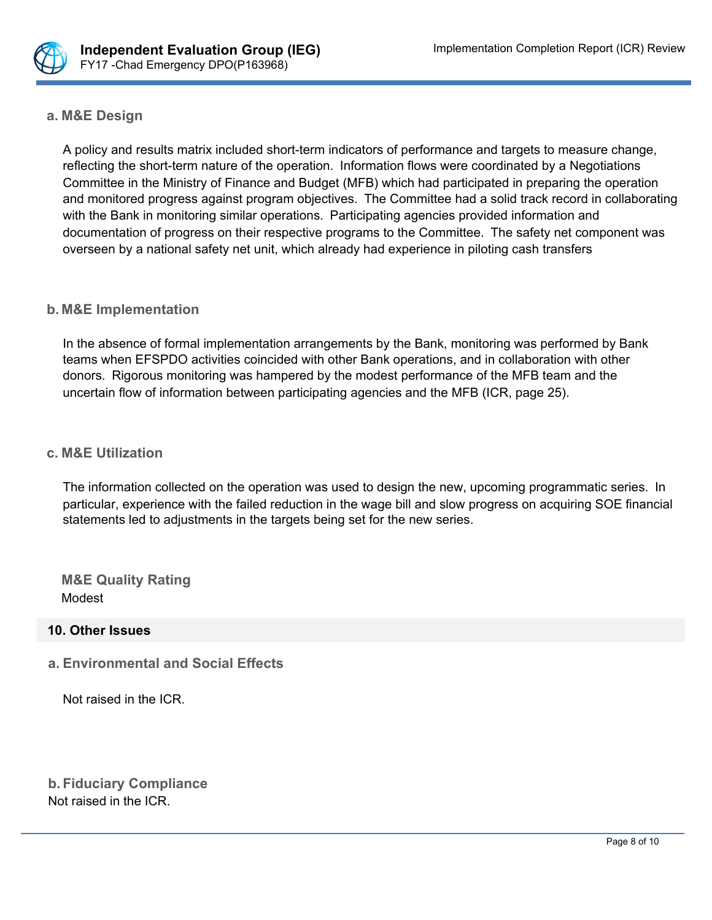

### **a. M&E Design**

A policy and results matrix included short-term indicators of performance and targets to measure change, reflecting the short-term nature of the operation. Information flows were coordinated by a Negotiations Committee in the Ministry of Finance and Budget (MFB) which had participated in preparing the operation and monitored progress against program objectives. The Committee had a solid track record in collaborating with the Bank in monitoring similar operations. Participating agencies provided information and documentation of progress on their respective programs to the Committee. The safety net component was overseen by a national safety net unit, which already had experience in piloting cash transfers

### **b. M&E Implementation**

In the absence of formal implementation arrangements by the Bank, monitoring was performed by Bank teams when EFSPDO activities coincided with other Bank operations, and in collaboration with other donors. Rigorous monitoring was hampered by the modest performance of the MFB team and the uncertain flow of information between participating agencies and the MFB (ICR, page 25).

### **c. M&E Utilization**

The information collected on the operation was used to design the new, upcoming programmatic series. In particular, experience with the failed reduction in the wage bill and slow progress on acquiring SOE financial statements led to adjustments in the targets being set for the new series.

**M&E Quality Rating** Modest

#### **10. Other Issues**

**a. Environmental and Social Effects**

Not raised in the ICR.

**b. Fiduciary Compliance** Not raised in the ICR.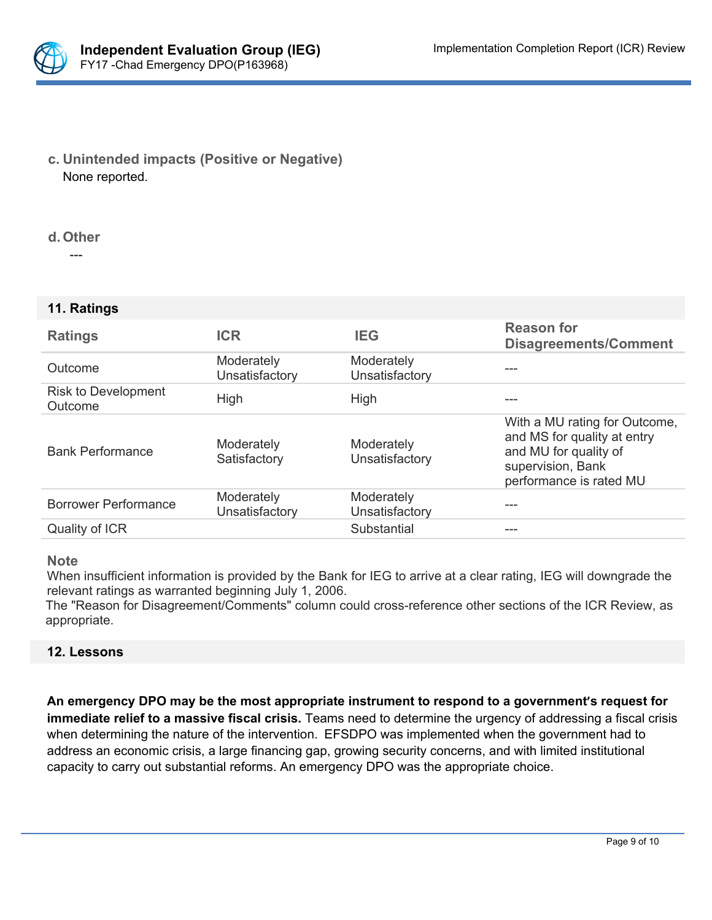

**c. Unintended impacts (Positive or Negative)** None reported.

#### **d. Other**

---

#### **11. Ratings**

| <b>Ratings</b>                 | <b>ICR</b>                   | <b>IEG</b>                   | <b>Reason for</b><br><b>Disagreements/Comment</b>                                                                                     |
|--------------------------------|------------------------------|------------------------------|---------------------------------------------------------------------------------------------------------------------------------------|
| Outcome                        | Moderately<br>Unsatisfactory | Moderately<br>Unsatisfactory |                                                                                                                                       |
| Risk to Development<br>Outcome | High                         | High                         |                                                                                                                                       |
| <b>Bank Performance</b>        | Moderately<br>Satisfactory   | Moderately<br>Unsatisfactory | With a MU rating for Outcome,<br>and MS for quality at entry<br>and MU for quality of<br>supervision, Bank<br>performance is rated MU |
| <b>Borrower Performance</b>    | Moderately<br>Unsatisfactory | Moderately<br>Unsatisfactory |                                                                                                                                       |
| Quality of ICR                 |                              | Substantial                  | ---                                                                                                                                   |

#### **Note**

When insufficient information is provided by the Bank for IEG to arrive at a clear rating, IEG will downgrade the relevant ratings as warranted beginning July 1, 2006.

The "Reason for Disagreement/Comments" column could cross-reference other sections of the ICR Review, as appropriate.

#### **12. Lessons**

**An emergency DPO may be the most appropriate instrument to respond to a government's request for immediate relief to a massive fiscal crisis.** Teams need to determine the urgency of addressing a fiscal crisis when determining the nature of the intervention. EFSDPO was implemented when the government had to address an economic crisis, a large financing gap, growing security concerns, and with limited institutional capacity to carry out substantial reforms. An emergency DPO was the appropriate choice.